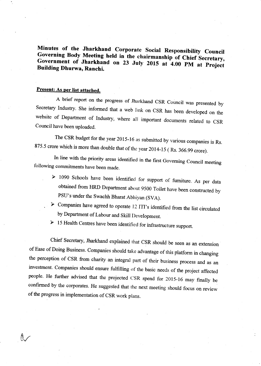Minutes of the Jharkhand Corporate Social Responsibility Council Governing Body Meeting held in the chairmanship of Chief Secretary, Government of Jharkhand on 23 July 2015 at 4.00 PM at Project Building Dhurwa, Ranchi.

## Present: As per list attached.

 $\Lambda$ 

<sup>A</sup>brief report on the progress of Jharkhand cSR council was presented by Secretary Industry. She informed that a web link on CSR has been developed on the website of Department of Industry, where all important documents related to cSR Council have been uploaded.

The CSR budget for the year 2015-16 as submitted by various companies is Rs. 875.5 crore which is more than double that of the year 2014-15 (Rs. 366.99 crore).

In line with the priority areas identified in the first Governing Council meeting following commitments have been made.

- $\geq 1090$  Schools have been identified for support of furniture. As per data obtained from HRD Department about 9500 Toilet have been constructed by PSU's under the Swachh Bharat Abhiyan (SVA).
- > Companies have agreed to operate 12 ITI's identified from the list circulated by Department of Labour and Skill I)evelopment.
- > 15 Health Centres have been identified for infrastructure support.

chief secretary, Jharkhand explained that cSR should be seen as an extension of Ease of Doing Business. Companies should take advantage of this platform in changing the perception of cSR from charity an integral part of their business process and as an investment. Companies should ensure fulfilling of the basic needs of the project affected people. He further advised that the projected CSR spend for 2015-16 may finally be confirmed by the corporates. He suggested that rhe next meeting should focus on review of the progress in implementation of CSR work plans.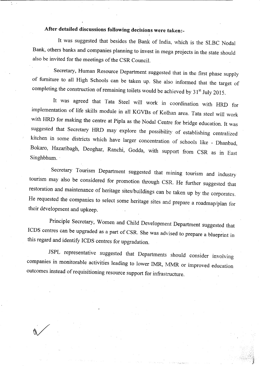## After detailed discussions foilowing decisions were taken:-

It was suggested that besides the Bank of India, which is the SLBC Nodal Bank, others banks and companies planning to invest in mega projects in the state should also be invited for the meetings of the CSR Council.

Secretary, Human Resource Department suggested that in the first phase supply of furniture to all High Schools can be taken up. She also informed that the target of completing the construction of remaining toilets would be achieved by  $31<sup>st</sup>$  July 2015.

It was agreed that Tata Steel will work in coordination with HRD for implementation of life skills module in all KGVBs of Kolhan area. Tata steel will work with HRD for making the centre at Pipla as the Nodal centre for bridge education. It was suggested that Secretary HRD may explore the possibility of establishing centralized kitchen in some districts which have larger concentration of schools like - Dhanbad, Bokaro, Hazaribagh, Deoghar, Ranchi, Godda, with support from CSR as in East Singhbhum.

Secretary Tourism Department suggested that mining tourism and industry tourism may also be considered for promotion through csR. He further suggesred that restoration and maintenance of heritage sites/buildings can be taken up by the corporates. He requested the companies to select some heritage sites and prepare a roadmap/plan for their development and upkeep.

Principle Secretary, women and child Development Department suggested that ICDS centres can be upgraded as a part of cSR. she was advised to prepare a blueprint in this regard and identify ICDS centres for upgradation.

JSPL representative suggested that Departments should consider involving companies in monitorable activities leading to lower IMR, MMR or improved education outcomes instead of requisitioning resource support for infrastructure.

 $\bigvee$